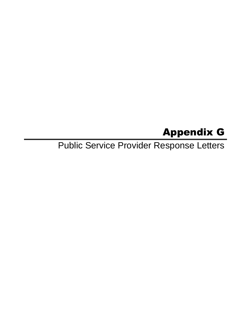# Appendix G

Public Service Provider Response Letters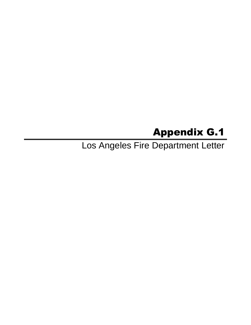# Appendix G.1

Los Angeles Fire Department Letter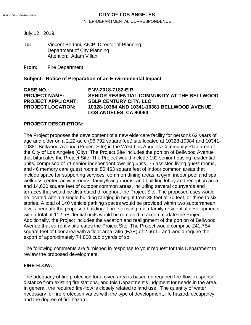#### FORM. GEN. 160 (Rev. 6-80) **CITY OF LOS ANGELES**

#### INTER-DEPARTMENTAL CORRESPONDENCE

July 12, 2019

**To:** Vincent Bertoni, AICP, Director of Planning Department of City Planning Attention: Adam Villani

**From:** Fire Department

#### **Subject: Notice of Preparation of an Environmental Impact**

**CASE NO.: ENV-2018-7182-EIR PROJECT NAME: SENIOR RESIENTIAL COMMUNITY AT THE BELLWOOD PROJECT APPLICANT: SBLP CENTURY CITY. LLC PROJECT LOCATION: 10328-10384 AND 10341-10381 BELLWOOD AVENUE, LOS ANGELES, CA 90064**

#### **PROJECT DESCRIPTION:**

The Project proposes the development of a new eldercare facility for persons 62 years of age and older on a 2.22-acre (96,792 square feet) site located at 10328-10384 and 10341- 10381 Bellwood Avenue (Project Site) in the West Los Angeles Community Plan area of the City of Los Angeles (City). The Project Site includes the portion of Bellwood Avenue that bifurcates the Project Site. The Project would include 192 senior housing residential units, comprised of 71 senior-independent dwelling units, 75 assisted living guest rooms, and 46 memory care guest rooms; 50,463 square feet of indoor common areas that include space for supporting services, common dining areas, a gym, indoor pool and spa, wellness center, activity rooms, family/living rooms, and building lobby and reception area; and 14,630 square feet of outdoor common areas, including several courtyards and terraces that would be distributed throughout the Project Site. The proposed uses would be located within a single building ranging in height from 38 feet to 70 feet, or three to six stories. A total of 140 vehicle parking spaces would be provided within two subterranean levels beneath the proposed building. Three existing multi-family residential developments with a total of 112 residential units would be removed to accommodate the Project. Additionally, the Project includes the vacation and realignment of the portion of Bellwood Avenue that currently bifurcates the Project Site. The Project would comprise 241,754 square feet of floor area with a floor area ratio (FAR) of 2.66:1.; and would require the export of approximately 74,800 cubic yards of soil.

The following comments are furnished in response to your request for this Department to review the proposed development:

#### **FIRE FLOW:**

The adequacy of fire protection for a given area is based on required fire-flow, response distance from existing fire stations, and this Department's judgment for needs in the area. In general, the required fire-flow is closely related to land use. The quantity of water necessary for fire protection varies with the type of development, life hazard, occupancy, and the degree of fire hazard.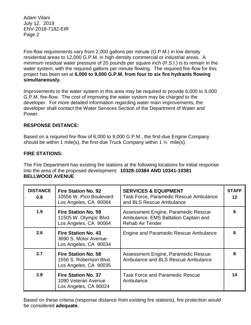Fire-flow requirements vary from 2,000 gallons per minute (G.P.M.) in low density residential areas to 12,000 G.P.M. in high-density commercial or industrial areas. A minimum residual water pressure of 20 pounds per square inch (P.S.I.) is to remain in the water system, with the required gallons per minute flowing. The required fire-flow for this project has been set at **6,000 to 9,000 G.P.M. from four to six fire hydrants flowing simultaneously.**

Improvements to the water system in this area may be required to provide 6,000 to 9,000 G.P.M. fire-flow. The cost of improving the water system may be charged to the developer. For more detailed information regarding water main improvements, the developer shall contact the Water Services Section of the Department of Water and Power.

### **RESPONSE DISTANCE:**

Based on a required fire-flow of 6,000 to 9,000 G.P.M., the first-due Engine Company should be within 1 mile(s), the first-due Truck Company within 1  $\frac{1}{2}$  mile(s).

### **FIRE STATIONS:**

The Fire Department has existing fire stations at the following locations for initial response into the area of the proposed development: **10328-10384 AND 10341-10381 BELLWOOD AVENUE**

| <b>DISTANCE</b><br>0.8 | <b>Fire Station No. 92</b><br>10556 W. Pico Boulevard<br>Los Angeles, CA 90064 | <b>SERVICES &amp; EQUIPMENT</b><br><b>Task Force, Paramedic Rescue Ambulance</b><br>and BLS Rescue Ambulance | <b>STAFF</b><br>12 |
|------------------------|--------------------------------------------------------------------------------|--------------------------------------------------------------------------------------------------------------|--------------------|
| 1.9                    | <b>Fire Station No. 59</b><br>11505 W. Olympic Blvd.<br>Los Angeles, CA 90064  | Assessment Engine, Paramedic Rescue<br>Ambulance. EMS Battalion Captain and<br><b>Rehab Air Tender</b>       | ุค                 |
| 2.6                    | <b>Fire Station No. 43</b><br>3690 S. Motor Avenue<br>Los Angeles, CA 90034    | Engine and Paramedic Rescue Ambulance                                                                        |                    |
| 2.7                    | <b>Fire Station No. 58</b><br>1556 S. Robertson Blvd.<br>Los Angeles, CA 90035 | Assessment Engine, Paramedic Rescue<br>Ambulance and BLS Rescue Ambulance                                    | Զ                  |
| 2.8                    | <b>Fire Station No. 37</b><br>1090 Veteran Avenue<br>Los Angeles, CA 90024     | <b>Task Force and Paramedic Rescue</b><br>Ambulance                                                          | 14                 |

Based on these criteria (response distance from existing fire stations), fire protection would be considered **adequate.**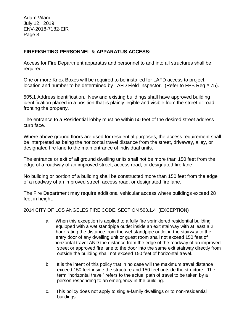### **FIREFIGHTING PERSONNEL & APPARATUS ACCESS:**

Access for Fire Department apparatus and personnel to and into all structures shall be required.

One or more Knox Boxes will be required to be installed for LAFD access to project. location and number to be determined by LAFD Field Inspector. (Refer to FPB Req # 75).

505.1 Address identification. New and existing buildings shall have approved building identification placed in a position that is plainly legible and visible from the street or road fronting the property.

The entrance to a Residential lobby must be within 50 feet of the desired street address curb face.

Where above ground floors are used for residential purposes, the access requirement shall be interpreted as being the horizontal travel distance from the street, driveway, alley, or designated fire lane to the main entrance of individual units.

The entrance or exit of all ground dwelling units shall not be more than 150 feet from the edge of a roadway of an improved street, access road, or designated fire lane.

No building or portion of a building shall be constructed more than 150 feet from the edge of a roadway of an improved street, access road, or designated fire lane.

The Fire Department may require additional vehicular access where buildings exceed 28 feet in height.

2014 CITY OF LOS ANGELES FIRE CODE, SECTION 503.1.4 (EXCEPTION)

- a. When this exception is applied to a fully fire sprinklered residential building equipped with a wet standpipe outlet inside an exit stairway with at least a 2 hour rating the distance from the wet standpipe outlet in the stairway to the entry door of any dwelling unit or guest room shall not exceed 150 feet of horizontal travel AND the distance from the edge of the roadway of an improved street or approved fire lane to the door into the same exit stairway directly from outside the building shall not exceed 150 feet of horizontal travel.
- b. It is the intent of this policy that in no case will the maximum travel distance exceed 150 feet inside the structure and 150 feet outside the structure. The term "horizontal travel" refers to the actual path of travel to be taken by a person responding to an emergency in the building.
- c. This policy does not apply to single-family dwellings or to non-residential buildings.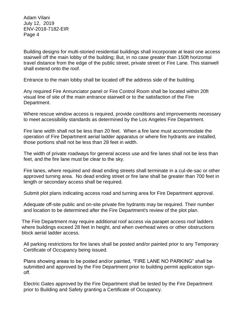Building designs for multi-storied residential buildings shall incorporate at least one access stairwell off the main lobby of the building; But, in no case greater than 150ft horizontal travel distance from the edge of the public street, private street or Fire Lane. This stairwell shall extend onto the roof.

Entrance to the main lobby shall be located off the address side of the building.

Any required Fire Annunciator panel or Fire Control Room shall be located within 20ft visual line of site of the main entrance stairwell or to the satisfaction of the Fire Department.

Where rescue window access is required, provide conditions and improvements necessary to meet accessibility standards as determined by the Los Angeles Fire Department.

Fire lane width shall not be less than 20 feet. When a fire lane must accommodate the operation of Fire Department aerial ladder apparatus or where fire hydrants are installed, those portions shall not be less than 28 feet in width.

The width of private roadways for general access use and fire lanes shall not be less than feet, and the fire lane must be clear to the sky.

Fire lanes, where required and dead ending streets shall terminate in a cul-de-sac or other approved turning area. No dead ending street or fire lane shall be greater than 700 feet in length or secondary access shall be required.

Submit plot plans indicating access road and turning area for Fire Department approval.

Adequate off-site public and on-site private fire hydrants may be required. Their number and location to be determined after the Fire Department's review of the plot plan.

The Fire Department may require additional roof access via parapet access roof ladders where buildings exceed 28 feet in height, and when overhead wires or other obstructions block aerial ladder access.

All parking restrictions for fire lanes shall be posted and/or painted prior to any Temporary Certificate of Occupancy being issued.

Plans showing areas to be posted and/or painted, "FIRE LANE NO PARKING" shall be submitted and approved by the Fire Department prior to building permit application signoff.

Electric Gates approved by the Fire Department shall be tested by the Fire Department prior to Building and Safety granting a Certificate of Occupancy.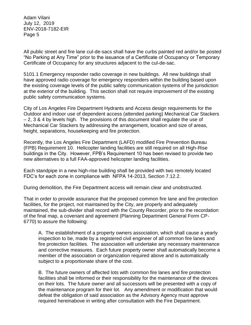All public street and fire lane cul-de-sacs shall have the curbs painted red and/or be posted "No Parking at Any Time" prior to the issuance of a Certificate of Occupancy or Temporary Certificate of Occupancy for any structures adjacent to the cul-de-sac.

5101.1 Emergency responder radio coverage in new buildings. All new buildings shall have approved radio coverage for emergency responders within the building based upon the existing coverage levels of the public safety communication systems of the jurisdiction at the exterior of the building. This section shall not require improvement of the existing public safety communication systems.

City of Los Angeles Fire Department Hydrants and Access design requirements for the Outdoor and indoor use of dependent access (attended parking) Mechanical Car Stackers – 2, 3 & 4 by levels high. The provisions of this document shall regulate the use of Mechanical Car Stackers by addressing the arrangement, location and size of areas, height, separations, housekeeping and fire protection.

Recently, the Los Angeles Fire Department (LAFD) modified Fire Prevention Bureau (FPB) Requirement 10. Helicopter landing facilities are still required on all High-Rise buildings in the City. However, FPB's Requirement 10 has been revised to provide two new alternatives to a full FAA-approved helicopter landing facilities.

Each standpipe in a new high-rise building shall be provided with two remotely located FDC's for each zone in compliance with NFPA 14-2013, Section 7.12.2.

During demolition, the Fire Department access will remain clear and unobstructed.

That in order to provide assurance that the proposed common fire lane and fire protection facilities, for the project, not maintained by the City, are properly and adequately maintained, the sub-divider shall record with the County Recorder, prior to the recordation of the final map, a covenant and agreement (Planning Department General Form CP-6770) to assure the following:

A. The establishment of a property owners association, which shall cause a yearly inspection to be, made by a registered civil engineer of all common fire lanes and fire protection facilities. The association will undertake any necessary maintenance and corrective measures. Each future property owner shall automatically become a member of the association or organization required above and is automatically subject to a proportionate share of the cost.

B. The future owners of affected lots with common fire lanes and fire protection facilities shall be informed or their responsibility for the maintenance of the devices on their lots. The future owner and all successors will be presented with a copy of the maintenance program for their lot. Any amendment or modification that would defeat the obligation of said association as the Advisory Agency must approve required hereinabove in writing after consultation with the Fire Department.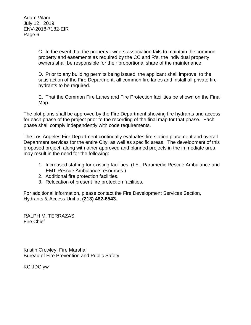> C. In the event that the property owners association fails to maintain the common property and easements as required by the CC and R's, the individual property owners shall be responsible for their proportional share of the maintenance.

> D. Prior to any building permits being issued, the applicant shall improve, to the satisfaction of the Fire Department, all common fire lanes and install all private fire hydrants to be required.

E. That the Common Fire Lanes and Fire Protection facilities be shown on the Final Map.

The plot plans shall be approved by the Fire Department showing fire hydrants and access for each phase of the project prior to the recording of the final map for that phase. Each phase shall comply independently with code requirements.

The Los Angeles Fire Department continually evaluates fire station placement and overall Department services for the entire City, as well as specific areas. The development of this proposed project, along with other approved and planned projects in the immediate area, may result in the need for the following:

- 1. Increased staffing for existing facilities. (I.E., Paramedic Rescue Ambulance and EMT Rescue Ambulance resources.)
- 2. Additional fire protection facilities.
- 3. Relocation of present fire protection facilities.

For additional information, please contact the Fire Development Services Section, Hydrants & Access Unit at **(213) 482-6543.**

RALPH M. TERRAZAS, Fire Chief

Kristin Crowley, Fire Marshal Bureau of Fire Prevention and Public Safety

KC:JDC:yw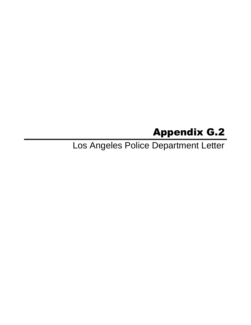# Appendix G.2

Los Angeles Police Department Letter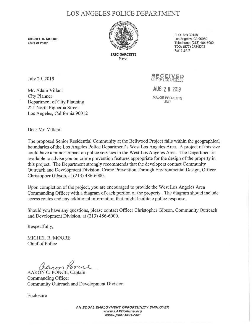## LOS ANGELES POLICE DEPARTMENT

**MICHEL R. MOORE**  Chief of Police



**ERIC GARCETTI**  Mayor

P. 0. Box 30158 Los Angeles, CA 90030 Telephone: (213) 486-6000 TDD: (877) 275-5273 Ref #:14.7

July 29, 2019

Mr. Adam Villani City Planner Department of City Planning 221 North Figueroa Street Los Angeles, California 90012 **RECEIVED**  CITY OF LOS ANGELES AUG 2 8 2019 **MAJOR PROJECTS UNIT** 

Dear Mr. Villani:

The proposed Senior Residential Community at the Bellwood Project falls within the geographical boundaries of the Los Angeles Police Department's West Los Angeles Area. A project of this size could have a minor impact on police services in the West Los Angeles Area. The Department is available to advise you on crime prevention features appropriate for the design of the property in this project. The Department strongly recommends that the developers contact Community Outreach and Development Division, Crime Prevention Through Environmental Design, Officer Christopher Gibson, at (213) 486-6000.

Upon completion of the project, you are encouraged to provide the West Los Angeles Area Commanding Officer with a diagram of each portion of the property. The diagram should include access routes and any additional information that might facilitate police response.

Should you have any questions, please contact Officer Christopher Gibson, Community Outreach and Development Division, at (213) 486-6000.

Respectfully,

MICHEL R. MOORE Chief of Police

AARON C. PONCE, Captain

Commanding Officer Community Outreach and Development Division

Enclosure

**AN EQUAL EMPLOYMENT OPPORTUNITY EMPLOYER www.LAPDonline.org www.jolnLAPO.com**